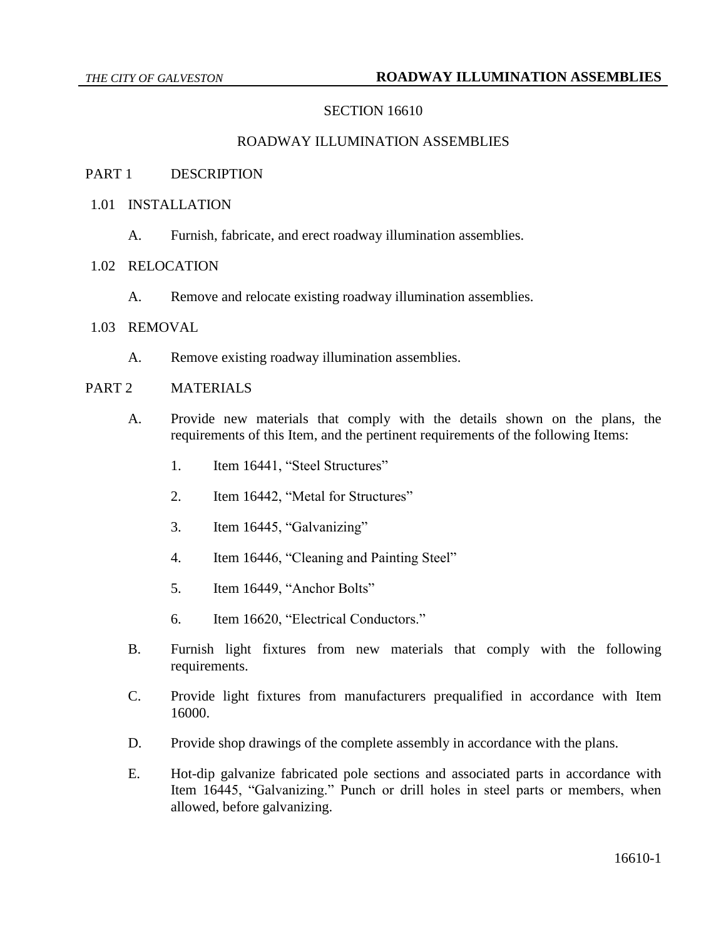## **SECTION 16610**

#### ROADWAY ILLUMINATION ASSEMBLIES

#### PART 1 DESCRIPTION

- 1.01 INSTALLATION
	- A. Furnish, fabricate, and erect roadway illumination assemblies.

#### 1.02 RELOCATION

A. Remove and relocate existing roadway illumination assemblies.

## 1.03 REMOVAL

A. Remove existing roadway illumination assemblies.

# PART 2 MATERIALS

- A. Provide new materials that comply with the details shown on the plans, the requirements of this Item, and the pertinent requirements of the following Items:
	- 1. Item 16441, "Steel Structures"
	- 2. Item 16442, "Metal for Structures"
	- 3. Item 16445, "Galvanizing"
	- 4. Item 16446, "Cleaning and Painting Steel"
	- 5. Item 16449, "Anchor Bolts"
	- 6. Item 16620, "Electrical Conductors."
- B. Furnish light fixtures from new materials that comply with the following requirements.
- C. Provide light fixtures from manufacturers prequalified in accordance with Item 16000.
- D. Provide shop drawings of the complete assembly in accordance with the plans.
- E. Hot-dip galvanize fabricated pole sections and associated parts in accordance with Item 16445, "Galvanizing." Punch or drill holes in steel parts or members, when allowed, before galvanizing.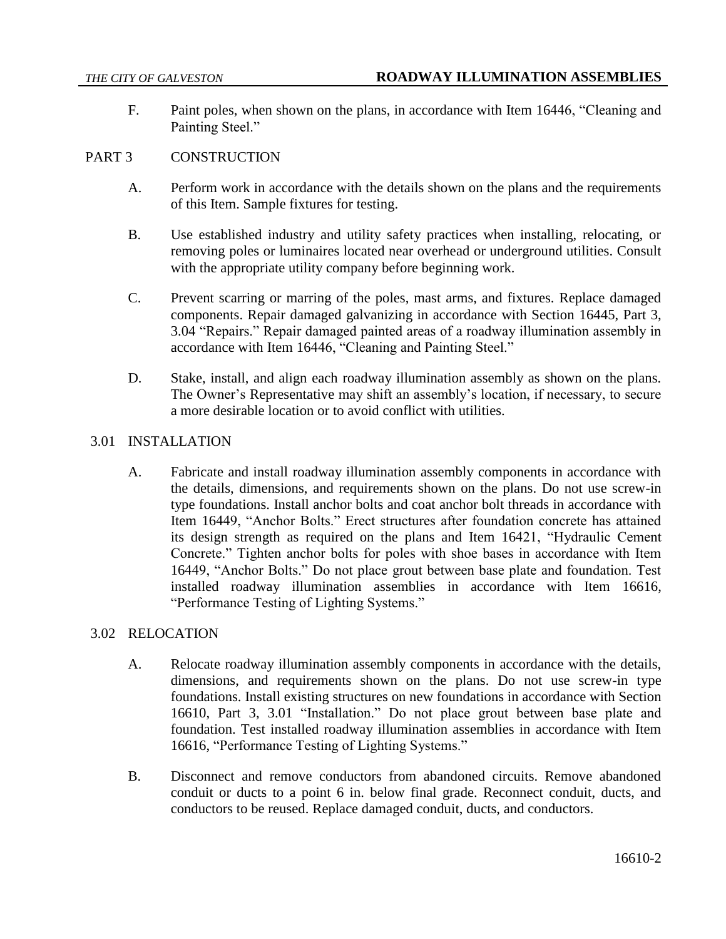F. Paint poles, when shown on the plans, in accordance with Item 16446, "Cleaning and Painting Steel."

# PART 3 CONSTRUCTION

- A. Perform work in accordance with the details shown on the plans and the requirements of this Item. Sample fixtures for testing.
- B. Use established industry and utility safety practices when installing, relocating, or removing poles or luminaires located near overhead or underground utilities. Consult with the appropriate utility company before beginning work.
- C. Prevent scarring or marring of the poles, mast arms, and fixtures. Replace damaged components. Repair damaged galvanizing in accordance with Section 16445, Part 3, 3.04 "Repairs." Repair damaged painted areas of a roadway illumination assembly in accordance with Item 16446, "Cleaning and Painting Steel."
- D. Stake, install, and align each roadway illumination assembly as shown on the plans. The Owner's Representative may shift an assembly's location, if necessary, to secure a more desirable location or to avoid conflict with utilities.

### 3.01 INSTALLATION

A. Fabricate and install roadway illumination assembly components in accordance with the details, dimensions, and requirements shown on the plans. Do not use screw-in type foundations. Install anchor bolts and coat anchor bolt threads in accordance with Item 16449, "Anchor Bolts." Erect structures after foundation concrete has attained its design strength as required on the plans and Item 16421, "Hydraulic Cement Concrete." Tighten anchor bolts for poles with shoe bases in accordance with Item 16449, "Anchor Bolts." Do not place grout between base plate and foundation. Test installed roadway illumination assemblies in accordance with Item 16616, "Performance Testing of Lighting Systems."

### 3.02 RELOCATION

- A. Relocate roadway illumination assembly components in accordance with the details, dimensions, and requirements shown on the plans. Do not use screw-in type foundations. Install existing structures on new foundations in accordance with Section 16610, Part 3, 3.01 "Installation." Do not place grout between base plate and foundation. Test installed roadway illumination assemblies in accordance with Item 16616, "Performance Testing of Lighting Systems."
- B. Disconnect and remove conductors from abandoned circuits. Remove abandoned conduit or ducts to a point 6 in. below final grade. Reconnect conduit, ducts, and conductors to be reused. Replace damaged conduit, ducts, and conductors.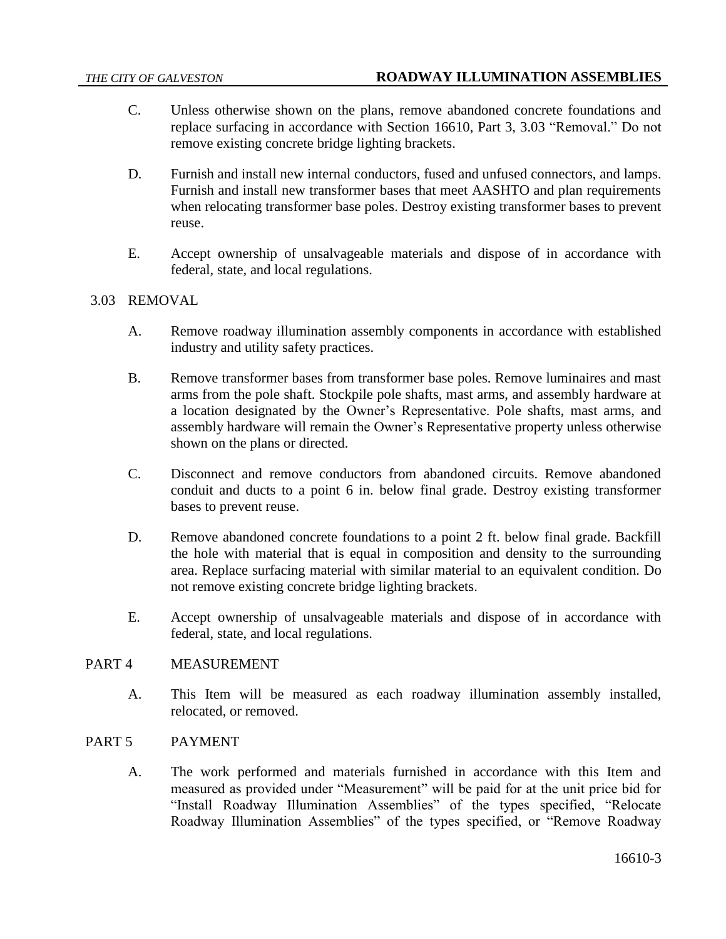- C. Unless otherwise shown on the plans, remove abandoned concrete foundations and replace surfacing in accordance with Section 16610, Part 3, 3.03 "Removal." Do not remove existing concrete bridge lighting brackets.
- D. Furnish and install new internal conductors, fused and unfused connectors, and lamps. Furnish and install new transformer bases that meet AASHTO and plan requirements when relocating transformer base poles. Destroy existing transformer bases to prevent reuse.
- E. Accept ownership of unsalvageable materials and dispose of in accordance with federal, state, and local regulations.

# 3.03 REMOVAL

- A. Remove roadway illumination assembly components in accordance with established industry and utility safety practices.
- B. Remove transformer bases from transformer base poles. Remove luminaires and mast arms from the pole shaft. Stockpile pole shafts, mast arms, and assembly hardware at a location designated by the Owner's Representative. Pole shafts, mast arms, and assembly hardware will remain the Owner's Representative property unless otherwise shown on the plans or directed.
- C. Disconnect and remove conductors from abandoned circuits. Remove abandoned conduit and ducts to a point 6 in. below final grade. Destroy existing transformer bases to prevent reuse.
- D. Remove abandoned concrete foundations to a point 2 ft. below final grade. Backfill the hole with material that is equal in composition and density to the surrounding area. Replace surfacing material with similar material to an equivalent condition. Do not remove existing concrete bridge lighting brackets.
- E. Accept ownership of unsalvageable materials and dispose of in accordance with federal, state, and local regulations.

### PART 4 MEASUREMENT

A. This Item will be measured as each roadway illumination assembly installed, relocated, or removed.

# PART 5 PAYMENT

A. The work performed and materials furnished in accordance with this Item and measured as provided under "Measurement" will be paid for at the unit price bid for "Install Roadway Illumination Assemblies" of the types specified, "Relocate Roadway Illumination Assemblies" of the types specified, or "Remove Roadway